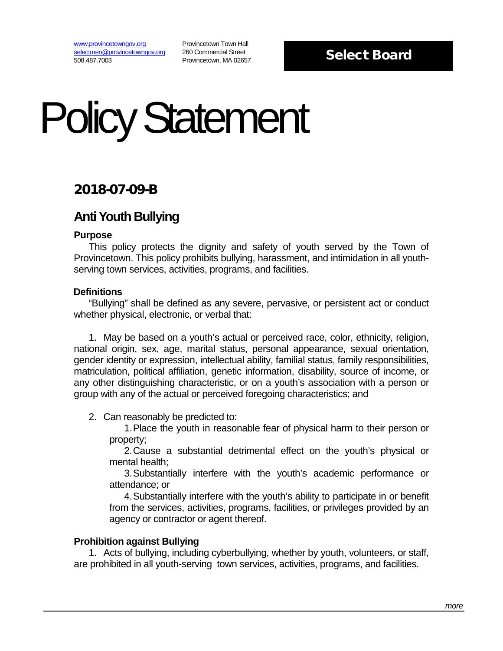[www.provincetowngov.org](http://www.provincetowngov.org/) [selectmen@provincetowngov.org](mailto:selectmen@provincetowngov.org) 508.487.7003

Provincetown Town Hall 260 Commercial Street Provincetown, MA 02657

## Select Board

# Policy Statement

## 2018-07-09-B

## **Anti Youth Bullying**

#### **Purpose**

This policy protects the dignity and safety of youth served by the Town of Provincetown. This policy prohibits bullying, harassment, and intimidation in all youthserving town services, activities, programs, and facilities.

### **Definitions**

"Bullying" shall be defined as any severe, pervasive, or persistent act or conduct whether physical, electronic, or verbal that:

1. May be based on a youth's actual or perceived race, color, ethnicity, religion, national origin, sex, age, marital status, personal appearance, sexual orientation, gender identity or expression, intellectual ability, familial status, family responsibilities, matriculation, political affiliation, genetic information, disability, source of income, or any other distinguishing characteristic, or on a youth's association with a person or group with any of the actual or perceived foregoing characteristics; and

2. Can reasonably be predicted to:

1.Place the youth in reasonable fear of physical harm to their person or property;

2.Cause a substantial detrimental effect on the youth's physical or mental health;

3.Substantially interfere with the youth's academic performance or attendance; or

4.Substantially interfere with the youth's ability to participate in or benefit from the services, activities, programs, facilities, or privileges provided by an agency or contractor or agent thereof.

### **Prohibition against Bullying**

1. Acts of bullying, including cyberbullying, whether by youth, volunteers, or staff, are prohibited in all youth-serving town services, activities, programs, and facilities.